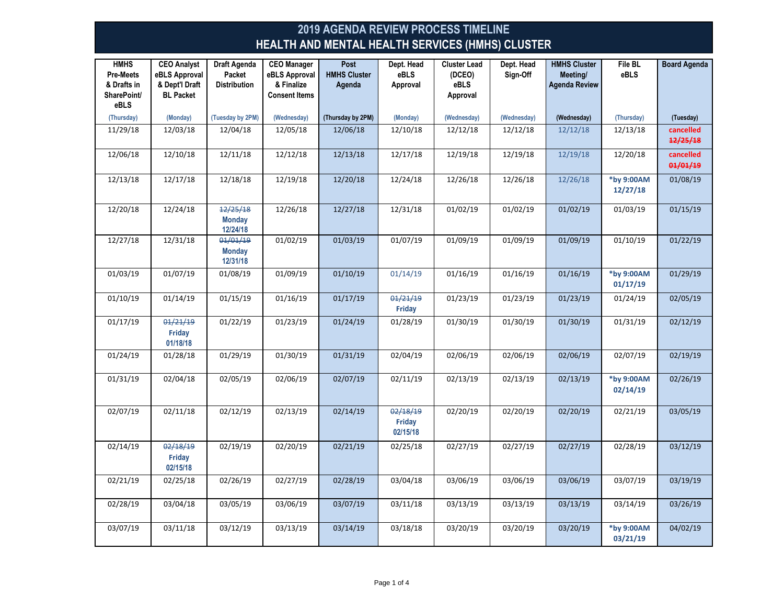| <b>HMHS</b><br><b>Pre-Meets</b><br>& Drafts in<br>SharePoint/<br>eBLS | <b>CEO Analyst</b><br>eBLS Approval<br>& Dept'l Draft<br><b>BL Packet</b> | <b>Draft Agenda</b><br>Packet<br><b>Distribution</b> | <b>CEO</b> Manager<br>eBLS Approval<br>& Finalize<br><b>Consent Items</b> | Post<br><b>HMHS Cluster</b><br>Agenda | Dept. Head<br>eBLS<br>Approval | <b>Cluster Lead</b><br>(DCEO)<br><b>eBLS</b><br>Approval | Dept. Head<br>Sign-Off | <b>HMHS Cluster</b><br>Meeting/<br><b>Agenda Review</b> | File BL<br><b>eBLS</b> | <b>Board Agenda</b>   |
|-----------------------------------------------------------------------|---------------------------------------------------------------------------|------------------------------------------------------|---------------------------------------------------------------------------|---------------------------------------|--------------------------------|----------------------------------------------------------|------------------------|---------------------------------------------------------|------------------------|-----------------------|
| (Thursday)                                                            | (Monday)                                                                  | (Tuesday by 2PM)                                     | (Wednesday)                                                               | (Thursday by 2PM)                     | (Monday)                       | (Wednesday)                                              | (Wednesday)            | (Wednesday)                                             | (Thursday)             | (Tuesday)             |
| 11/29/18                                                              | 12/03/18                                                                  | 12/04/18                                             | 12/05/18                                                                  | 12/06/18                              | 12/10/18                       | 12/12/18                                                 | 12/12/18               | 12/12/18                                                | 12/13/18               | cancelled<br>12/25/18 |
| 12/06/18                                                              | 12/10/18                                                                  | 12/11/18                                             | 12/12/18                                                                  | 12/13/18                              | 12/17/18                       | 12/19/18                                                 | 12/19/18               | 12/19/18                                                | 12/20/18               | cancelled<br>01/01/19 |
| 12/13/18                                                              | 12/17/18                                                                  | 12/18/18                                             | 12/19/18                                                                  | 12/20/18                              | 12/24/18                       | 12/26/18                                                 | 12/26/18               | 12/26/18                                                | *by 9:00AM<br>12/27/18 | 01/08/19              |
| 12/20/18                                                              | 12/24/18                                                                  | 12/25/18<br><b>Monday</b><br>12/24/18                | 12/26/18                                                                  | 12/27/18                              | 12/31/18                       | 01/02/19                                                 | 01/02/19               | 01/02/19                                                | 01/03/19               | 01/15/19              |
| 12/27/18                                                              | 12/31/18                                                                  | 01/01/19<br><b>Monday</b><br>12/31/18                | 01/02/19                                                                  | 01/03/19                              | 01/07/19                       | 01/09/19                                                 | 01/09/19               | 01/09/19                                                | 01/10/19               | 01/22/19              |
| 01/03/19                                                              | 01/07/19                                                                  | 01/08/19                                             | 01/09/19                                                                  | 01/10/19                              | 01/14/19                       | 01/16/19                                                 | 01/16/19               | 01/16/19                                                | *by 9:00AM<br>01/17/19 | 01/29/19              |
| 01/10/19                                                              | 01/14/19                                                                  | 01/15/19                                             | 01/16/19                                                                  | 01/17/19                              | 01/21/19<br>Friday             | 01/23/19                                                 | 01/23/19               | 01/23/19                                                | 01/24/19               | 02/05/19              |
| 01/17/19                                                              | 01/21/19<br>Friday<br>01/18/18                                            | 01/22/19                                             | 01/23/19                                                                  | 01/24/19                              | 01/28/19                       | 01/30/19                                                 | 01/30/19               | 01/30/19                                                | 01/31/19               | 02/12/19              |
| 01/24/19                                                              | 01/28/18                                                                  | 01/29/19                                             | 01/30/19                                                                  | 01/31/19                              | 02/04/19                       | 02/06/19                                                 | 02/06/19               | 02/06/19                                                | 02/07/19               | 02/19/19              |
| 01/31/19                                                              | 02/04/18                                                                  | 02/05/19                                             | 02/06/19                                                                  | 02/07/19                              | 02/11/19                       | 02/13/19                                                 | 02/13/19               | 02/13/19                                                | *by 9:00AM<br>02/14/19 | 02/26/19              |
| 02/07/19                                                              | 02/11/18                                                                  | 02/12/19                                             | 02/13/19                                                                  | 02/14/19                              | 02/18/19<br>Friday<br>02/15/18 | 02/20/19                                                 | 02/20/19               | 02/20/19                                                | 02/21/19               | 03/05/19              |
| 02/14/19                                                              | 02/18/19<br>Friday<br>02/15/18                                            | 02/19/19                                             | 02/20/19                                                                  | 02/21/19                              | 02/25/18                       | 02/27/19                                                 | 02/27/19               | 02/27/19                                                | 02/28/19               | 03/12/19              |
| 02/21/19                                                              | 02/25/18                                                                  | 02/26/19                                             | 02/27/19                                                                  | 02/28/19                              | 03/04/18                       | 03/06/19                                                 | 03/06/19               | 03/06/19                                                | 03/07/19               | 03/19/19              |
| 02/28/19                                                              | 03/04/18                                                                  | 03/05/19                                             | 03/06/19                                                                  | 03/07/19                              | 03/11/18                       | 03/13/19                                                 | 03/13/19               | 03/13/19                                                | 03/14/19               | 03/26/19              |
| 03/07/19                                                              | 03/11/18                                                                  | 03/12/19                                             | 03/13/19                                                                  | 03/14/19                              | 03/18/18                       | 03/20/19                                                 | 03/20/19               | 03/20/19                                                | *by 9:00AM<br>03/21/19 | 04/02/19              |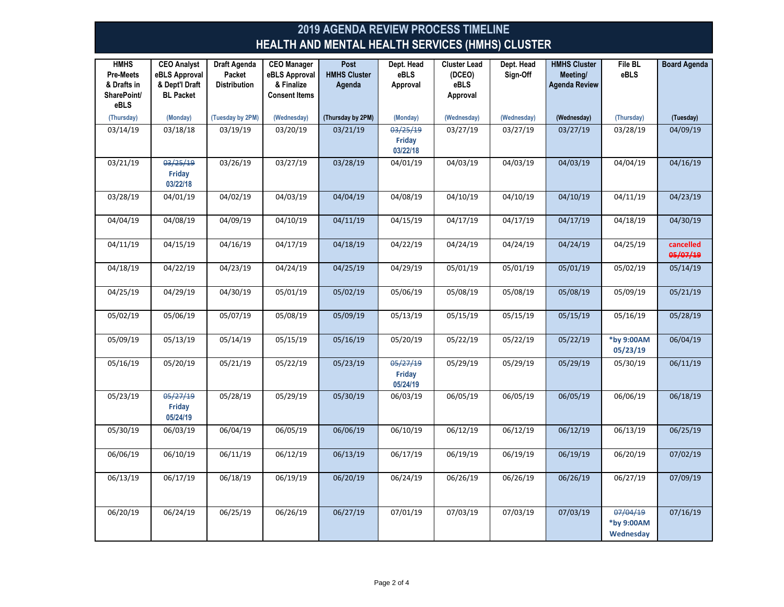| <b>HMHS</b><br><b>Pre-Meets</b><br>& Drafts in<br>SharePoint/<br>eBLS | <b>CEO Analyst</b><br>eBLS Approval<br>& Dept'l Draft<br><b>BL Packet</b> | Draft Agenda<br>Packet<br><b>Distribution</b> | <b>CEO Manager</b><br>eBLS Approval<br>& Finalize<br><b>Consent Items</b> | Post<br><b>HMHS Cluster</b><br>Agenda | Dept. Head<br>eBLS<br>Approval | <b>Cluster Lead</b><br>(DCEO)<br>eBLS<br>Approval | Dept. Head<br>Sign-Off | <b>HMHS Cluster</b><br>Meeting/<br><b>Agenda Review</b> | <b>File BL</b><br>eBLS              | <b>Board Agenda</b>   |
|-----------------------------------------------------------------------|---------------------------------------------------------------------------|-----------------------------------------------|---------------------------------------------------------------------------|---------------------------------------|--------------------------------|---------------------------------------------------|------------------------|---------------------------------------------------------|-------------------------------------|-----------------------|
| (Thursday)                                                            | (Monday)                                                                  | (Tuesday by 2PM)                              | (Wednesday)                                                               | (Thursday by 2PM)                     | (Monday)                       | (Wednesday)                                       | (Wednesday)            | (Wednesday)                                             | (Thursday)                          | (Tuesday)             |
| 03/14/19                                                              | 03/18/18                                                                  | 03/19/19                                      | 03/20/19                                                                  | 03/21/19                              | 03/25/19<br>Friday<br>03/22/18 | 03/27/19                                          | 03/27/19               | 03/27/19                                                | 03/28/19                            | 04/09/19              |
| 03/21/19                                                              | 03/25/19<br>Friday<br>03/22/18                                            | 03/26/19                                      | 03/27/19                                                                  | 03/28/19                              | 04/01/19                       | 04/03/19                                          | 04/03/19               | 04/03/19                                                | 04/04/19                            | 04/16/19              |
| 03/28/19                                                              | 04/01/19                                                                  | 04/02/19                                      | 04/03/19                                                                  | 04/04/19                              | 04/08/19                       | 04/10/19                                          | 04/10/19               | 04/10/19                                                | 04/11/19                            | 04/23/19              |
| 04/04/19                                                              | 04/08/19                                                                  | 04/09/19                                      | 04/10/19                                                                  | 04/11/19                              | 04/15/19                       | 04/17/19                                          | 04/17/19               | 04/17/19                                                | 04/18/19                            | 04/30/19              |
| 04/11/19                                                              | 04/15/19                                                                  | 04/16/19                                      | 04/17/19                                                                  | 04/18/19                              | 04/22/19                       | 04/24/19                                          | 04/24/19               | 04/24/19                                                | 04/25/19                            | cancelled<br>05/07/19 |
| 04/18/19                                                              | 04/22/19                                                                  | 04/23/19                                      | 04/24/19                                                                  | 04/25/19                              | 04/29/19                       | 05/01/19                                          | 05/01/19               | 05/01/19                                                | 05/02/19                            | 05/14/19              |
| 04/25/19                                                              | 04/29/19                                                                  | 04/30/19                                      | 05/01/19                                                                  | 05/02/19                              | 05/06/19                       | 05/08/19                                          | 05/08/19               | 05/08/19                                                | 05/09/19                            | 05/21/19              |
| 05/02/19                                                              | 05/06/19                                                                  | 05/07/19                                      | 05/08/19                                                                  | 05/09/19                              | 05/13/19                       | 05/15/19                                          | 05/15/19               | 05/15/19                                                | 05/16/19                            | 05/28/19              |
| 05/09/19                                                              | 05/13/19                                                                  | 05/14/19                                      | 05/15/19                                                                  | 05/16/19                              | 05/20/19                       | 05/22/19                                          | 05/22/19               | 05/22/19                                                | *by 9:00AM<br>05/23/19              | 06/04/19              |
| 05/16/19                                                              | 05/20/19                                                                  | 05/21/19                                      | 05/22/19                                                                  | 05/23/19                              | 05/27/19<br>Friday<br>05/24/19 | 05/29/19                                          | 05/29/19               | 05/29/19                                                | 05/30/19                            | 06/11/19              |
| 05/23/19                                                              | 05/27/19<br>Friday<br>05/24/19                                            | 05/28/19                                      | 05/29/19                                                                  | 05/30/19                              | 06/03/19                       | 06/05/19                                          | 06/05/19               | 06/05/19                                                | 06/06/19                            | 06/18/19              |
| 05/30/19                                                              | 06/03/19                                                                  | 06/04/19                                      | 06/05/19                                                                  | 06/06/19                              | 06/10/19                       | 06/12/19                                          | 06/12/19               | 06/12/19                                                | 06/13/19                            | 06/25/19              |
| 06/06/19                                                              | 06/10/19                                                                  | 06/11/19                                      | 06/12/19                                                                  | 06/13/19                              | 06/17/19                       | 06/19/19                                          | 06/19/19               | 06/19/19                                                | 06/20/19                            | 07/02/19              |
| 06/13/19                                                              | 06/17/19                                                                  | 06/18/19                                      | 06/19/19                                                                  | 06/20/19                              | 06/24/19                       | 06/26/19                                          | 06/26/19               | 06/26/19                                                | 06/27/19                            | 07/09/19              |
| 06/20/19                                                              | 06/24/19                                                                  | 06/25/19                                      | 06/26/19                                                                  | 06/27/19                              | 07/01/19                       | 07/03/19                                          | 07/03/19               | 07/03/19                                                | 07/04/19<br>*by 9:00AM<br>Wednesday | 07/16/19              |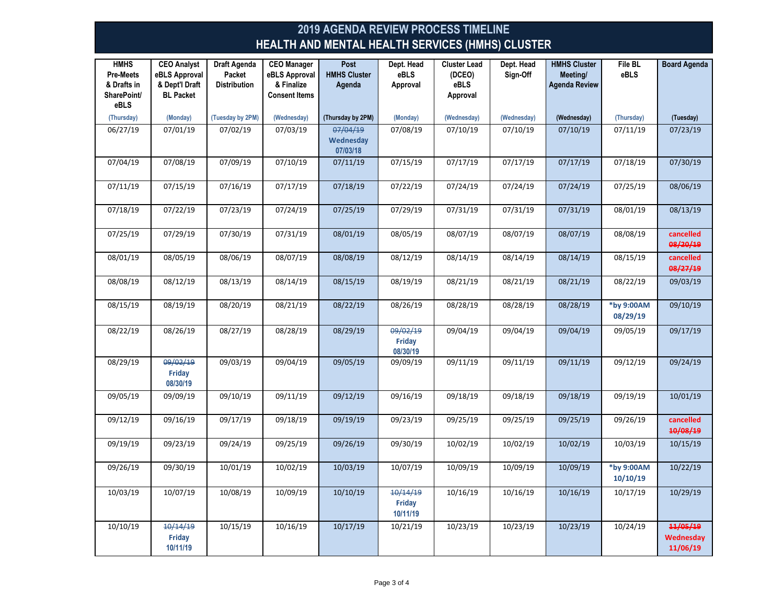| <b>HMHS</b><br><b>Pre-Meets</b><br>& Drafts in<br>SharePoint/<br>eBLS | <b>CEO Analyst</b><br>eBLS Approval<br>& Dept'l Draft<br><b>BL Packet</b> | Draft Agenda<br>Packet<br><b>Distribution</b> | <b>CEO Manager</b><br>eBLS Approval<br>& Finalize<br><b>Consent Items</b> | Post<br><b>HMHS Cluster</b><br>Agenda | Dept. Head<br>eBLS<br>Approval | <b>Cluster Lead</b><br>(DCEO)<br>eBLS<br>Approval | Dept. Head<br>Sign-Off | <b>HMHS Cluster</b><br>Meeting/<br><b>Agenda Review</b> | File BL<br><b>eBLS</b> | <b>Board Agenda</b>               |
|-----------------------------------------------------------------------|---------------------------------------------------------------------------|-----------------------------------------------|---------------------------------------------------------------------------|---------------------------------------|--------------------------------|---------------------------------------------------|------------------------|---------------------------------------------------------|------------------------|-----------------------------------|
| (Thursday)                                                            | (Monday)                                                                  | (Tuesday by 2PM)                              | (Wednesday)                                                               | (Thursday by 2PM)                     | (Monday)                       | (Wednesday)                                       | (Wednesday)            | (Wednesday)                                             | (Thursday)             | (Tuesday)                         |
| 06/27/19                                                              | 07/01/19                                                                  | 07/02/19                                      | 07/03/19                                                                  | 07/04/19<br>Wednesday<br>07/03/18     | 07/08/19                       | 07/10/19                                          | 07/10/19               | 07/10/19                                                | 07/11/19               | 07/23/19                          |
| 07/04/19                                                              | 07/08/19                                                                  | 07/09/19                                      | 07/10/19                                                                  | 07/11/19                              | 07/15/19                       | 07/17/19                                          | 07/17/19               | 07/17/19                                                | 07/18/19               | 07/30/19                          |
| 07/11/19                                                              | 07/15/19                                                                  | 07/16/19                                      | 07/17/19                                                                  | 07/18/19                              | 07/22/19                       | 07/24/19                                          | 07/24/19               | 07/24/19                                                | 07/25/19               | 08/06/19                          |
| 07/18/19                                                              | 07/22/19                                                                  | 07/23/19                                      | 07/24/19                                                                  | 07/25/19                              | 07/29/19                       | 07/31/19                                          | 07/31/19               | 07/31/19                                                | 08/01/19               | 08/13/19                          |
| 07/25/19                                                              | 07/29/19                                                                  | 07/30/19                                      | 07/31/19                                                                  | 08/01/19                              | 08/05/19                       | 08/07/19                                          | 08/07/19               | 08/07/19                                                | 08/08/19               | cancelled<br>08/20/19             |
| 08/01/19                                                              | 08/05/19                                                                  | 08/06/19                                      | 08/07/19                                                                  | 08/08/19                              | 08/12/19                       | 08/14/19                                          | 08/14/19               | 08/14/19                                                | 08/15/19               | cancelled<br>08/27/19             |
| 08/08/19                                                              | 08/12/19                                                                  | 08/13/19                                      | 08/14/19                                                                  | 08/15/19                              | 08/19/19                       | 08/21/19                                          | 08/21/19               | 08/21/19                                                | 08/22/19               | 09/03/19                          |
| 08/15/19                                                              | 08/19/19                                                                  | 08/20/19                                      | 08/21/19                                                                  | 08/22/19                              | 08/26/19                       | 08/28/19                                          | 08/28/19               | 08/28/19                                                | *by 9:00AM<br>08/29/19 | 09/10/19                          |
| 08/22/19                                                              | 08/26/19                                                                  | 08/27/19                                      | 08/28/19                                                                  | 08/29/19                              | 09/02/19<br>Friday<br>08/30/19 | 09/04/19                                          | 09/04/19               | 09/04/19                                                | 09/05/19               | 09/17/19                          |
| 08/29/19                                                              | 09/02/19<br>Friday<br>08/30/19                                            | 09/03/19                                      | 09/04/19                                                                  | 09/05/19                              | 09/09/19                       | 09/11/19                                          | 09/11/19               | 09/11/19                                                | 09/12/19               | 09/24/19                          |
| 09/05/19                                                              | 09/09/19                                                                  | 09/10/19                                      | 09/11/19                                                                  | 09/12/19                              | 09/16/19                       | 09/18/19                                          | $\frac{1}{09}/18/19$   | 09/18/19                                                | 09/19/19               | 10/01/19                          |
| 09/12/19                                                              | 09/16/19                                                                  | 09/17/19                                      | 09/18/19                                                                  | 09/19/19                              | 09/23/19                       | 09/25/19                                          | 09/25/19               | 09/25/19                                                | 09/26/19               | cancelled<br>10/08/19             |
| 09/19/19                                                              | 09/23/19                                                                  | 09/24/19                                      | 09/25/19                                                                  | 09/26/19                              | 09/30/19                       | 10/02/19                                          | 10/02/19               | 10/02/19                                                | 10/03/19               | 10/15/19                          |
| 09/26/19                                                              | 09/30/19                                                                  | 10/01/19                                      | 10/02/19                                                                  | 10/03/19                              | 10/07/19                       | 10/09/19                                          | 10/09/19               | 10/09/19                                                | *by 9:00AM<br>10/10/19 | 10/22/19                          |
| 10/03/19                                                              | 10/07/19                                                                  | 10/08/19                                      | 10/09/19                                                                  | 10/10/19                              | 10/14/19<br>Friday<br>10/11/19 | 10/16/19                                          | 10/16/19               | 10/16/19                                                | 10/17/19               | 10/29/19                          |
| 10/10/19                                                              | 10/14/19<br>Friday<br>10/11/19                                            | 10/15/19                                      | 10/16/19                                                                  | 10/17/19                              | 10/21/19                       | 10/23/19                                          | 10/23/19               | 10/23/19                                                | 10/24/19               | 11/05/19<br>Wednesday<br>11/06/19 |